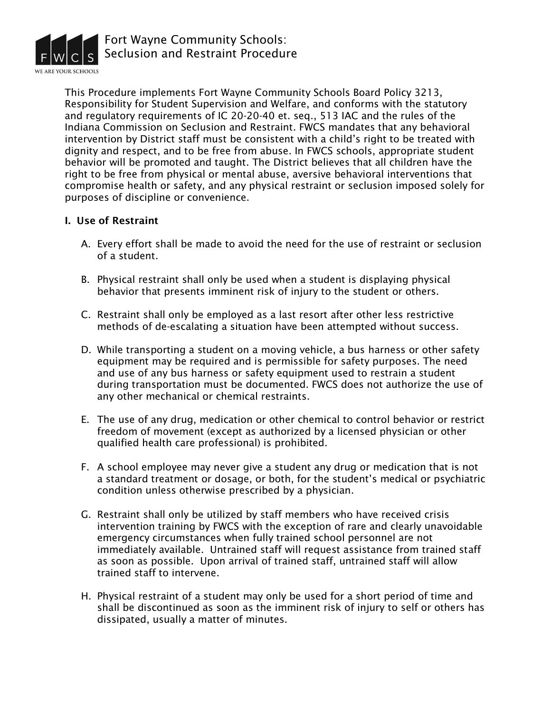

This Procedure implements Fort Wayne Community Schools Board Policy 3213, Responsibility for Student Supervision and Welfare, and conforms with the statutory and regulatory requirements of IC 20-20-40 et. seq., 513 IAC and the rules of the Indiana Commission on Seclusion and Restraint. FWCS mandates that any behavioral intervention by District staff must be consistent with a child's right to be treated with dignity and respect, and to be free from abuse. In FWCS schools, appropriate student behavior will be promoted and taught. The District believes that all children have the right to be free from physical or mental abuse, aversive behavioral interventions that compromise health or safety, and any physical restraint or seclusion imposed solely for purposes of discipline or convenience.

#### I. Use of Restraint

- A. Every effort shall be made to avoid the need for the use of restraint or seclusion of a student.
- B. Physical restraint shall only be used when a student is displaying physical behavior that presents imminent risk of injury to the student or others.
- C. Restraint shall only be employed as a last resort after other less restrictive methods of de-escalating a situation have been attempted without success.
- D. While transporting a student on a moving vehicle, a bus harness or other safety equipment may be required and is permissible for safety purposes. The need and use of any bus harness or safety equipment used to restrain a student during transportation must be documented. FWCS does not authorize the use of any other mechanical or chemical restraints.
- E. The use of any drug, medication or other chemical to control behavior or restrict freedom of movement (except as authorized by a licensed physician or other qualified health care professional) is prohibited.
- F. A school employee may never give a student any drug or medication that is not a standard treatment or dosage, or both, for the student's medical or psychiatric condition unless otherwise prescribed by a physician.
- G. Restraint shall only be utilized by staff members who have received crisis intervention training by FWCS with the exception of rare and clearly unavoidable emergency circumstances when fully trained school personnel are not immediately available. Untrained staff will request assistance from trained staff as soon as possible. Upon arrival of trained staff, untrained staff will allow trained staff to intervene.
- H. Physical restraint of a student may only be used for a short period of time and shall be discontinued as soon as the imminent risk of injury to self or others has dissipated, usually a matter of minutes.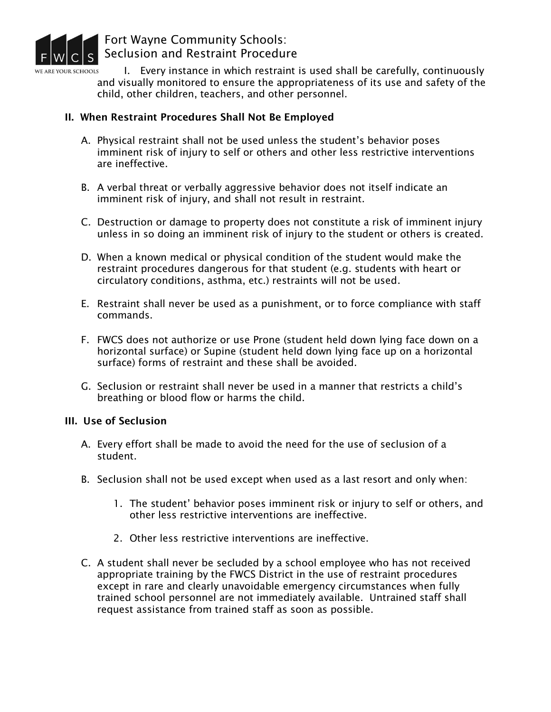

I. Every instance in which restraint is used shall be carefully, continuously **E ARE YOUR SCHOOLS** and visually monitored to ensure the appropriateness of its use and safety of the child, other children, teachers, and other personnel.

### II. When Restraint Procedures Shall Not Be Employed

- A. Physical restraint shall not be used unless the student's behavior poses imminent risk of injury to self or others and other less restrictive interventions are ineffective.
- B. A verbal threat or verbally aggressive behavior does not itself indicate an imminent risk of injury, and shall not result in restraint.
- C. Destruction or damage to property does not constitute a risk of imminent injury unless in so doing an imminent risk of injury to the student or others is created.
- D. When a known medical or physical condition of the student would make the restraint procedures dangerous for that student (e.g. students with heart or circulatory conditions, asthma, etc.) restraints will not be used.
- E. Restraint shall never be used as a punishment, or to force compliance with staff commands.
- F. FWCS does not authorize or use Prone (student held down lying face down on a horizontal surface) or Supine (student held down lying face up on a horizontal surface) forms of restraint and these shall be avoided.
- G. Seclusion or restraint shall never be used in a manner that restricts a child's breathing or blood flow or harms the child.

### III. Use of Seclusion

- A. Every effort shall be made to avoid the need for the use of seclusion of a student.
- B. Seclusion shall not be used except when used as a last resort and only when:
	- 1. The student' behavior poses imminent risk or injury to self or others, and other less restrictive interventions are ineffective.
	- 2. Other less restrictive interventions are ineffective.
- C. A student shall never be secluded by a school employee who has not received appropriate training by the FWCS District in the use of restraint procedures except in rare and clearly unavoidable emergency circumstances when fully trained school personnel are not immediately available. Untrained staff shall request assistance from trained staff as soon as possible.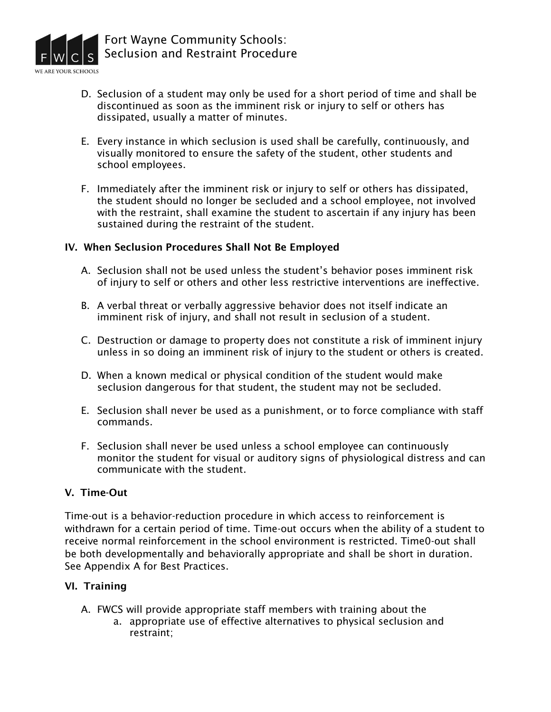

- D. Seclusion of a student may only be used for a short period of time and shall be discontinued as soon as the imminent risk or injury to self or others has dissipated, usually a matter of minutes.
- E. Every instance in which seclusion is used shall be carefully, continuously, and visually monitored to ensure the safety of the student, other students and school employees.
- F. Immediately after the imminent risk or injury to self or others has dissipated, the student should no longer be secluded and a school employee, not involved with the restraint, shall examine the student to ascertain if any injury has been sustained during the restraint of the student.

### IV. When Seclusion Procedures Shall Not Be Employed

- A. Seclusion shall not be used unless the student's behavior poses imminent risk of injury to self or others and other less restrictive interventions are ineffective.
- B. A verbal threat or verbally aggressive behavior does not itself indicate an imminent risk of injury, and shall not result in seclusion of a student.
- C. Destruction or damage to property does not constitute a risk of imminent injury unless in so doing an imminent risk of injury to the student or others is created.
- D. When a known medical or physical condition of the student would make seclusion dangerous for that student, the student may not be secluded.
- E. Seclusion shall never be used as a punishment, or to force compliance with staff commands.
- F. Seclusion shall never be used unless a school employee can continuously monitor the student for visual or auditory signs of physiological distress and can communicate with the student.

#### V. Time-Out

Time-out is a behavior-reduction procedure in which access to reinforcement is withdrawn for a certain period of time. Time-out occurs when the ability of a student to receive normal reinforcement in the school environment is restricted. Time0-out shall be both developmentally and behaviorally appropriate and shall be short in duration. See Appendix A for Best Practices.

#### VI. Training

- A. FWCS will provide appropriate staff members with training about the
	- a. appropriate use of effective alternatives to physical seclusion and restraint;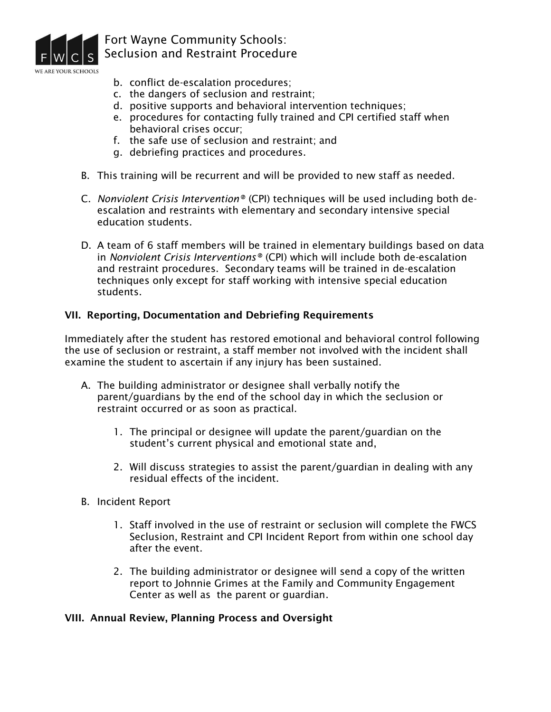

- b. conflict de-escalation procedures;
- c. the dangers of seclusion and restraint;
- d. positive supports and behavioral intervention techniques;
- e. procedures for contacting fully trained and CPI certified staff when behavioral crises occur;
- f. the safe use of seclusion and restraint; and
- g. debriefing practices and procedures.
- B. This training will be recurrent and will be provided to new staff as needed.
- C. *Nonviolent Crisis Intervention®* (CPI) techniques will be used including both deescalation and restraints with elementary and secondary intensive special education students.
- D. A team of 6 staff members will be trained in elementary buildings based on data in *Nonviolent Crisis Interventions®* (CPI) which will include both de-escalation and restraint procedures. Secondary teams will be trained in de-escalation techniques only except for staff working with intensive special education students.

### VII. Reporting, Documentation and Debriefing Requirements

Immediately after the student has restored emotional and behavioral control following the use of seclusion or restraint, a staff member not involved with the incident shall examine the student to ascertain if any injury has been sustained.

- A. The building administrator or designee shall verbally notify the parent/guardians by the end of the school day in which the seclusion or restraint occurred or as soon as practical.
	- 1. The principal or designee will update the parent/guardian on the student's current physical and emotional state and,
	- 2. Will discuss strategies to assist the parent/guardian in dealing with any residual effects of the incident.
- B. Incident Report
	- 1. Staff involved in the use of restraint or seclusion will complete the FWCS Seclusion, Restraint and CPI Incident Report from within one school day after the event.
	- 2. The building administrator or designee will send a copy of the written report to Johnnie Grimes at the Family and Community Engagement Center as well as the parent or guardian.

### VIII. Annual Review, Planning Process and Oversight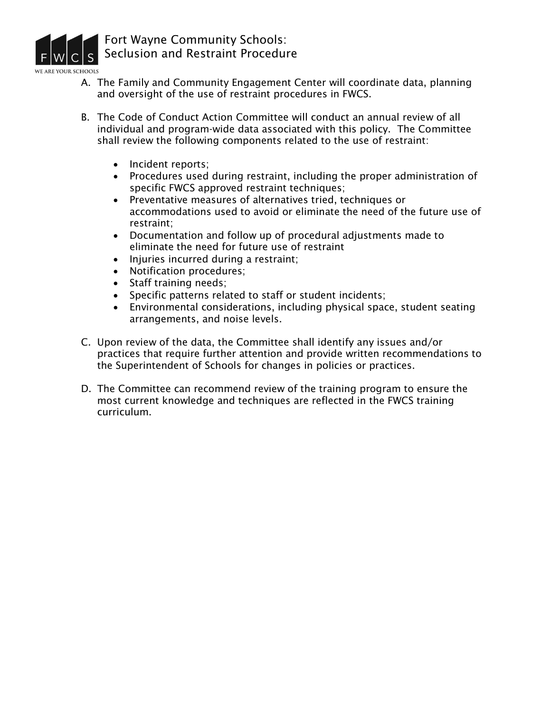

- A. The Family and Community Engagement Center will coordinate data, planning and oversight of the use of restraint procedures in FWCS.
- B. The Code of Conduct Action Committee will conduct an annual review of all individual and program-wide data associated with this policy. The Committee shall review the following components related to the use of restraint:
	- Incident reports:
	- Procedures used during restraint, including the proper administration of specific FWCS approved restraint techniques;
	- Preventative measures of alternatives tried, techniques or accommodations used to avoid or eliminate the need of the future use of restraint;
	- Documentation and follow up of procedural adjustments made to eliminate the need for future use of restraint
	- Injuries incurred during a restraint;
	- Notification procedures;
	- Staff training needs;
	- Specific patterns related to staff or student incidents;
	- Environmental considerations, including physical space, student seating arrangements, and noise levels.
- C. Upon review of the data, the Committee shall identify any issues and/or practices that require further attention and provide written recommendations to the Superintendent of Schools for changes in policies or practices.
- D. The Committee can recommend review of the training program to ensure the most current knowledge and techniques are reflected in the FWCS training curriculum.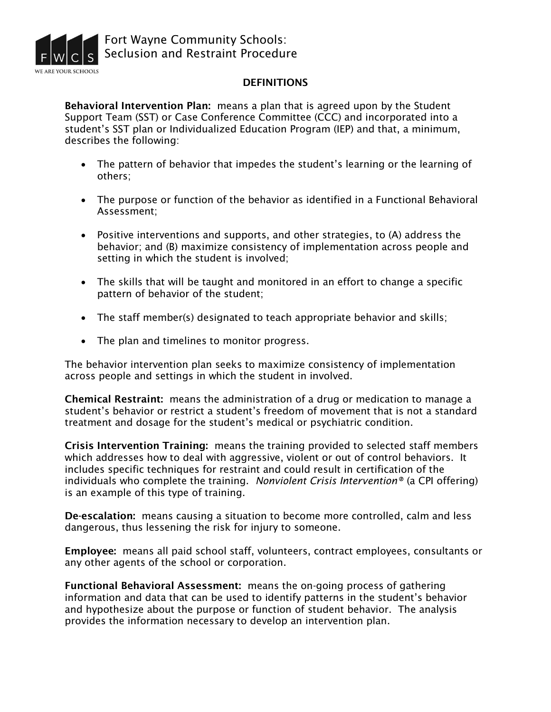

#### **DEFINITIONS**

Behavioral Intervention Plan: means a plan that is agreed upon by the Student Support Team (SST) or Case Conference Committee (CCC) and incorporated into a student's SST plan or Individualized Education Program (IEP) and that, a minimum, describes the following:

- The pattern of behavior that impedes the student's learning or the learning of others;
- The purpose or function of the behavior as identified in a Functional Behavioral Assessment;
- Positive interventions and supports, and other strategies, to (A) address the behavior; and (B) maximize consistency of implementation across people and setting in which the student is involved;
- The skills that will be taught and monitored in an effort to change a specific pattern of behavior of the student;
- The staff member(s) designated to teach appropriate behavior and skills;
- The plan and timelines to monitor progress.

The behavior intervention plan seeks to maximize consistency of implementation across people and settings in which the student in involved.

Chemical Restraint: means the administration of a drug or medication to manage a student's behavior or restrict a student's freedom of movement that is not a standard treatment and dosage for the student's medical or psychiatric condition.

Crisis Intervention Training: means the training provided to selected staff members which addresses how to deal with aggressive, violent or out of control behaviors. It includes specific techniques for restraint and could result in certification of the individuals who complete the training. *Nonviolent Crisis Intervention®* (a CPI offering) is an example of this type of training.

De-escalation: means causing a situation to become more controlled, calm and less dangerous, thus lessening the risk for injury to someone.

Employee: means all paid school staff, volunteers, contract employees, consultants or any other agents of the school or corporation.

Functional Behavioral Assessment: means the on-going process of gathering information and data that can be used to identify patterns in the student's behavior and hypothesize about the purpose or function of student behavior. The analysis provides the information necessary to develop an intervention plan.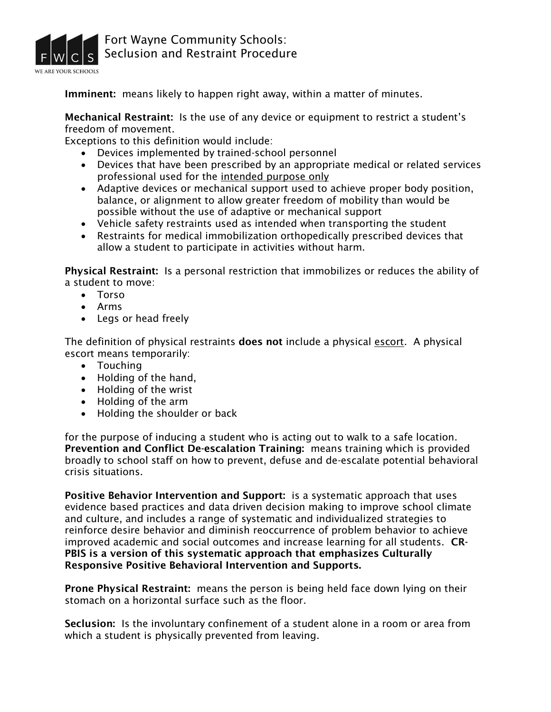

Imminent: means likely to happen right away, within a matter of minutes.

Mechanical Restraint: Is the use of any device or equipment to restrict a student's freedom of movement.

Exceptions to this definition would include:

- Devices implemented by trained-school personnel
- Devices that have been prescribed by an appropriate medical or related services professional used for the intended purpose only
- Adaptive devices or mechanical support used to achieve proper body position, balance, or alignment to allow greater freedom of mobility than would be possible without the use of adaptive or mechanical support
- Vehicle safety restraints used as intended when transporting the student
- Restraints for medical immobilization orthopedically prescribed devices that allow a student to participate in activities without harm.

Physical Restraint: Is a personal restriction that immobilizes or reduces the ability of a student to move:

- Torso
- Arms
- Legs or head freely

The definition of physical restraints does not include a physical escort. A physical escort means temporarily:

- Touching
- Holding of the hand,
- Holding of the wrist
- Holding of the arm
- Holding the shoulder or back

for the purpose of inducing a student who is acting out to walk to a safe location. Prevention and Conflict De-escalation Training: means training which is provided broadly to school staff on how to prevent, defuse and de-escalate potential behavioral crisis situations.

Positive Behavior Intervention and Support: is a systematic approach that uses evidence based practices and data driven decision making to improve school climate and culture, and includes a range of systematic and individualized strategies to reinforce desire behavior and diminish reoccurrence of problem behavior to achieve improved academic and social outcomes and increase learning for all students. CR-PBIS is a version of this systematic approach that emphasizes Culturally Responsive Positive Behavioral Intervention and Supports.

Prone Physical Restraint: means the person is being held face down lying on their stomach on a horizontal surface such as the floor.

Seclusion: Is the involuntary confinement of a student alone in a room or area from which a student is physically prevented from leaving.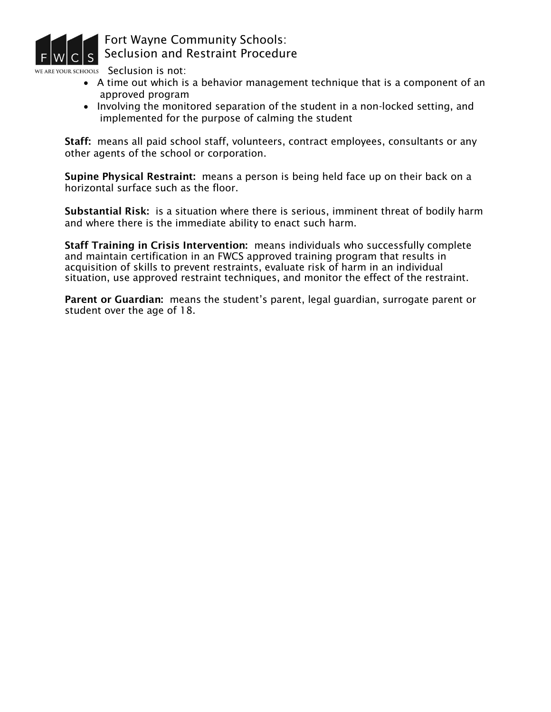

VE ARE YOUR SCHOOLS Seclusion is not:

- A time out which is a behavior management technique that is a component of an approved program
- Involving the monitored separation of the student in a non-locked setting, and implemented for the purpose of calming the student

Staff: means all paid school staff, volunteers, contract employees, consultants or any other agents of the school or corporation.

Supine Physical Restraint: means a person is being held face up on their back on a horizontal surface such as the floor.

Substantial Risk: is a situation where there is serious, imminent threat of bodily harm and where there is the immediate ability to enact such harm.

Staff Training in Crisis Intervention: means individuals who successfully complete and maintain certification in an FWCS approved training program that results in acquisition of skills to prevent restraints, evaluate risk of harm in an individual situation, use approved restraint techniques, and monitor the effect of the restraint.

Parent or Guardian: means the student's parent, legal guardian, surrogate parent or student over the age of 18.